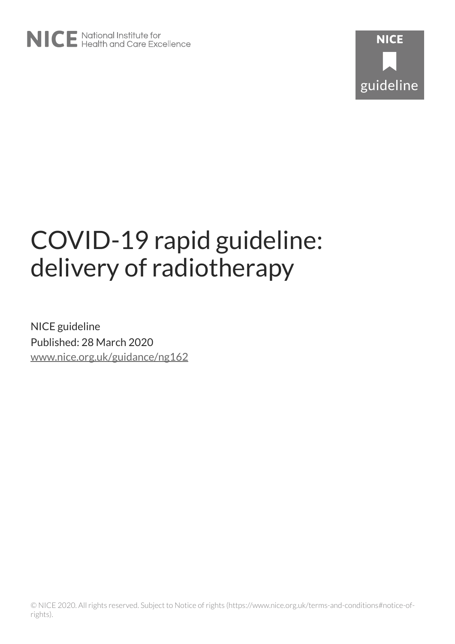# COVID-19 rapid guideline: delivery of radiotherapy

NICE guideline Published: 28 March 2020 [www.nice.org.uk/guidance/ng162](https://www.nice.org.uk/guidance/ng162)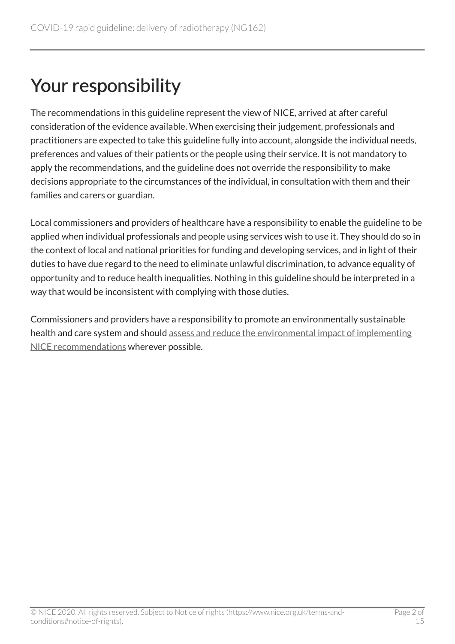# Your responsibility

The recommendations in this guideline represent the view of NICE, arrived at after careful consideration of the evidence available. When exercising their judgement, professionals and practitioners are expected to take this guideline fully into account, alongside the individual needs, preferences and values of their patients or the people using their service. It is not mandatory to apply the recommendations, and the guideline does not override the responsibility to make decisions appropriate to the circumstances of the individual, in consultation with them and their families and carers or guardian.

Local commissioners and providers of healthcare have a responsibility to enable the guideline to be applied when individual professionals and people using services wish to use it. They should do so in the context of local and national priorities for funding and developing services, and in light of their duties to have due regard to the need to eliminate unlawful discrimination, to advance equality of opportunity and to reduce health inequalities. Nothing in this guideline should be interpreted in a way that would be inconsistent with complying with those duties.

Commissioners and providers have a responsibility to promote an environmentally sustainable health and care system and should [assess and reduce the environmental impact of implementing](https://www.nice.org.uk/about/who-we-are/sustainability)  [NICE recommendations](https://www.nice.org.uk/about/who-we-are/sustainability) wherever possible.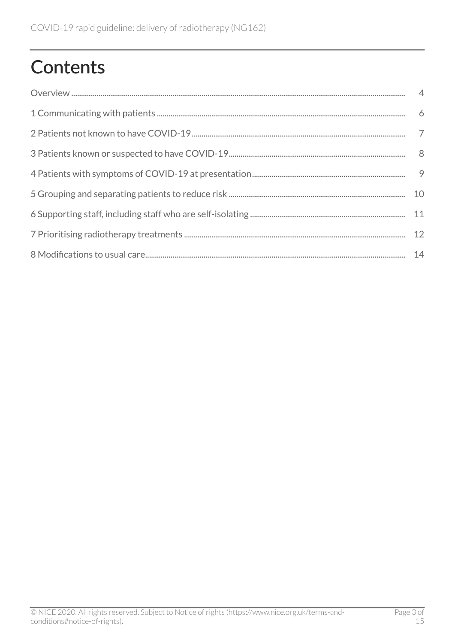# **Contents**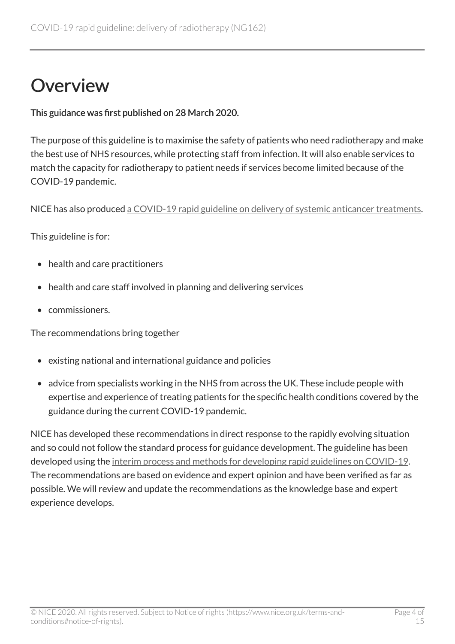### <span id="page-3-0"></span>**Overview**

This guidance was first published on 28 March 2020.

The purpose of this guideline is to maximise the safety of patients who need radiotherapy and make the best use of NHS resources, while protecting staff from infection. It will also enable services to match the capacity for radiotherapy to patient needs if services become limited because of the COVID-19 pandemic.

NICE has also produced [a COVID-19 rapid guideline on delivery of systemic anticancer treatments](https://www.nice.org.uk/guidance/ng161).

This guideline is for:

- health and care practitioners
- health and care staff involved in planning and delivering services
- commissioners.

The recommendations bring together

- existing national and international guidance and policies
- advice from specialists working in the NHS from across the UK. These include people with expertise and experience of treating patients for the specific health conditions covered by the guidance during the current COVID-19 pandemic.

NICE has developed these recommendations in direct response to the rapidly evolving situation and so could not follow the standard process for guidance development. The guideline has been developed using the [interim process and methods for developing rapid guidelines on COVID-19](https://www.nice.org.uk/process/pmg35). The recommendations are based on evidence and expert opinion and have been verified as far as possible. We will review and update the recommendations as the knowledge base and expert experience develops.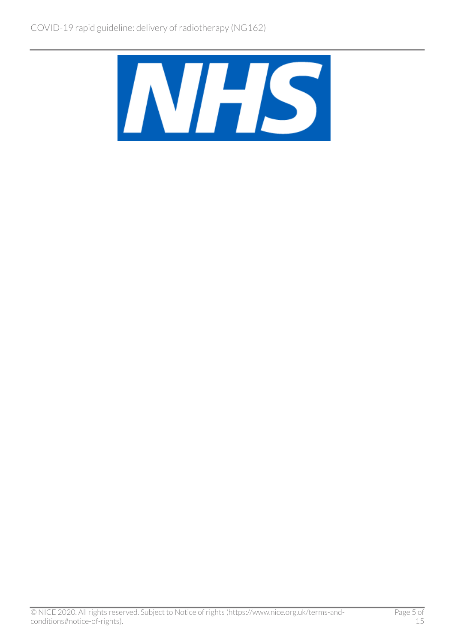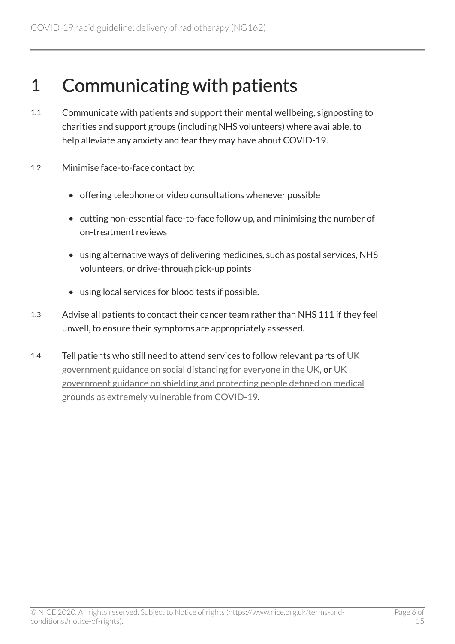#### <span id="page-5-0"></span>1 Communicating with patients

- 1.1 Communicate with patients and support their mental wellbeing, signposting to charities and support groups (including NHS volunteers) where available, to help alleviate any anxiety and fear they may have about COVID-19.
- 1.2 Minimise face-to-face contact by:
	- offering telephone or video consultations whenever possible
	- cutting non-essential face-to-face follow up, and minimising the number of on-treatment reviews
	- using alternative ways of delivering medicines, such as postal services, NHS volunteers, or drive-through pick-up points
	- using local services for blood tests if possible.
- 1.3 Advise all patients to contact their cancer team rather than NHS 111 if they feel unwell, to ensure their symptoms are appropriately assessed.
- 1.4 Tell patients who still need to attend services to follow relevant parts of [UK](https://www.gov.uk/government/publications/covid-19-guidance-on-social-distancing-and-for-vulnerable-people/guidance-on-social-distancing-for-everyone-in-the-uk-and-protecting-older-people-and-vulnerable-adults)  [government guidance on social distancing for everyone in the UK,](https://www.gov.uk/government/publications/covid-19-guidance-on-social-distancing-and-for-vulnerable-people/guidance-on-social-distancing-for-everyone-in-the-uk-and-protecting-older-people-and-vulnerable-adults) or [UK](https://www.gov.uk/government/publications/guidance-on-shielding-and-protecting-extremely-vulnerable-persons-from-covid-19)  [government guidance on shielding and protecting people defined on medical](https://www.gov.uk/government/publications/guidance-on-shielding-and-protecting-extremely-vulnerable-persons-from-covid-19)  [grounds as extremely vulnerable from COVID-19](https://www.gov.uk/government/publications/guidance-on-shielding-and-protecting-extremely-vulnerable-persons-from-covid-19).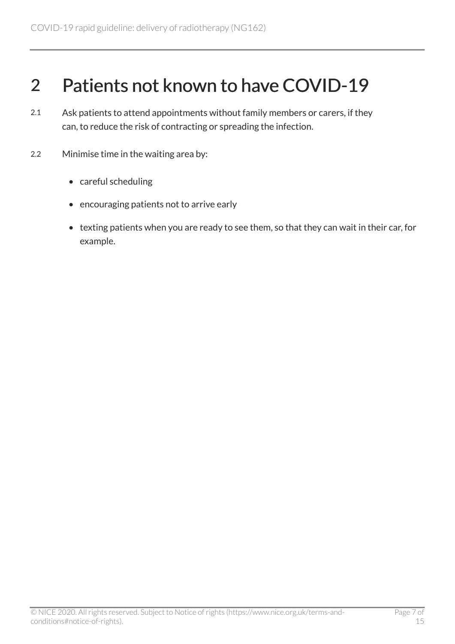#### <span id="page-6-0"></span>2 Patients not known to have COVID-19

- 2.1 Ask patients to attend appointments without family members or carers, if they can, to reduce the risk of contracting or spreading the infection.
- 2.2 Minimise time in the waiting area by:
	- careful scheduling
	- encouraging patients not to arrive early
	- texting patients when you are ready to see them, so that they can wait in their car, for example.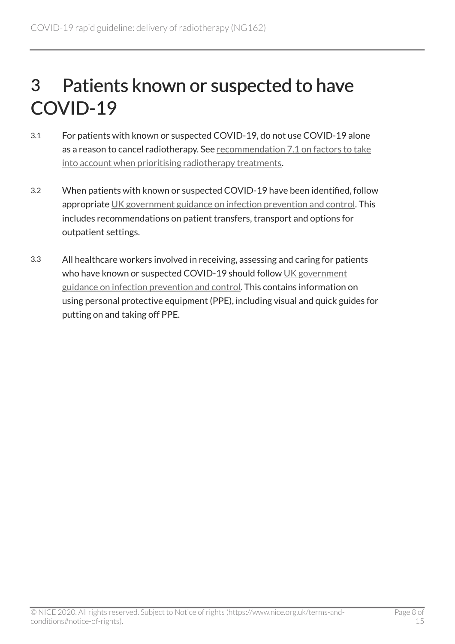## <span id="page-7-0"></span>3 Patients known or suspected to have COVID-19

- 3.1 For patients with known or suspected COVID-19, do not use COVID-19 alone as a reason to cancel radiotherapy. See [recommendation 7.1 on factors to take](#page-11-0)  [into account when prioritising radiotherapy treatments.](#page-11-0)
- 3.2 When patients with known or suspected COVID-19 have been identified, follow appropriate [UK government guidance on infection prevention and control.](https://www.gov.uk/government/publications/wuhan-novel-coronavirus-infection-prevention-and-control) This includes recommendations on patient transfers, transport and options for outpatient settings.
- 3.3 All healthcare workers involved in receiving, assessing and caring for patients who have known or suspected COVID-19 should follow [UK government](https://www.gov.uk/government/publications/wuhan-novel-coronavirus-infection-prevention-and-control) [guidance on infection prevention and control.](https://www.gov.uk/government/publications/wuhan-novel-coronavirus-infection-prevention-and-control) This contains information on using personal protective equipment (PPE), including visual and quick guides for putting on and taking off PPE.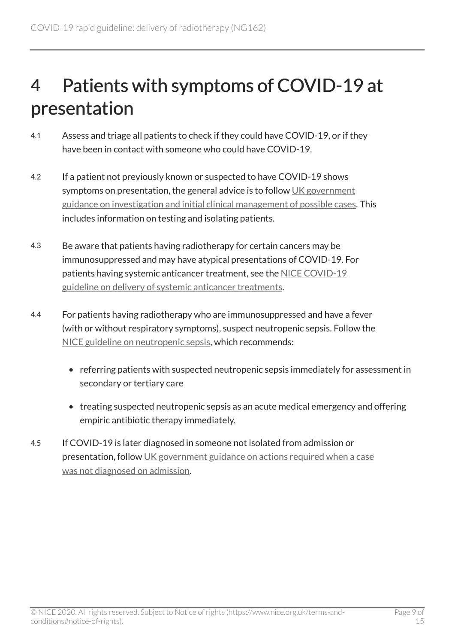## <span id="page-8-0"></span>4 Patients with symptoms of COVID-19 at presentation

- 4.1 Assess and triage all patients to check if they could have COVID-19, or if they have been in contact with someone who could have COVID-19.
- 4.2 If a patient not previously known or suspected to have COVID-19 shows symptoms on presentation, the general advice is to follow [UK government](https://www.gov.uk/government/publications/wuhan-novel-coronavirus-initial-investigation-of-possible-cases)  [guidance on investigation and initial clinical management of possible cases.](https://www.gov.uk/government/publications/wuhan-novel-coronavirus-initial-investigation-of-possible-cases) This includes information on testing and isolating patients.
- 4.3 Be aware that patients having radiotherapy for certain cancers may be immunosuppressed and may have atypical presentations of COVID-19. For patients having systemic anticancer treatment, see the [NICE COVID-19](https://www.nice.org.uk/guidance/ng161) [guideline on delivery of systemic anticancer treatments](https://www.nice.org.uk/guidance/ng161).
- 4.4 For patients having radiotherapy who are immunosuppressed and have a fever (with or without respiratory symptoms), suspect neutropenic sepsis. Follow the [NICE guideline on neutropenic sepsis](https://www.nice.org.uk/guidance/cg151), which recommends:
	- referring patients with suspected neutropenic sepsis immediately for assessment in secondary or tertiary care
	- treating suspected neutropenic sepsis as an acute medical emergency and offering empiric antibiotic therapy immediately.
- 4.5 If COVID-19 is later diagnosed in someone not isolated from admission or presentation, follow [UK government guidance on actions required when a case](https://www.gov.uk/government/publications/covid-19-guidance-for-healthcare-providers-who-have-diagnosed-a-case-within-their-facility/covid-19-actions-required-when-a-case-was-not-diagnosed-on-admission)  [was not diagnosed on admission](https://www.gov.uk/government/publications/covid-19-guidance-for-healthcare-providers-who-have-diagnosed-a-case-within-their-facility/covid-19-actions-required-when-a-case-was-not-diagnosed-on-admission).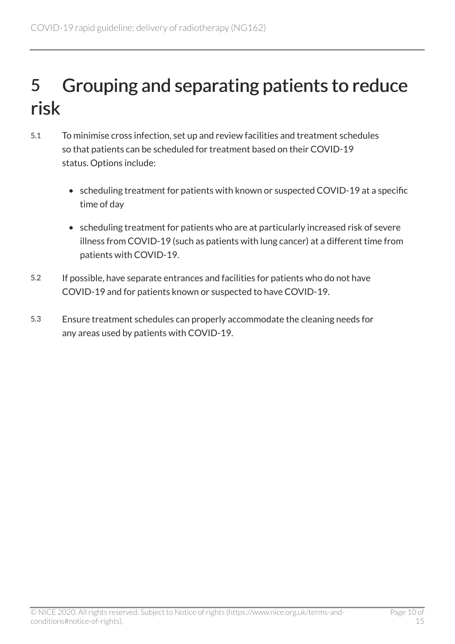## <span id="page-9-0"></span>5 Grouping and separating patients to reduce risk

- 5.1 To minimise cross infection, set up and review facilities and treatment schedules so that patients can be scheduled for treatment based on their COVID-19 status. Options include:
	- scheduling treatment for patients with known or suspected COVID-19 at a specific time of day
	- scheduling treatment for patients who are at particularly increased risk of severe illness from COVID-19 (such as patients with lung cancer) at a different time from patients with COVID-19.
- 5.2 If possible, have separate entrances and facilities for patients who do not have COVID-19 and for patients known or suspected to have COVID-19.
- 5.3 Ensure treatment schedules can properly accommodate the cleaning needs for any areas used by patients with COVID-19.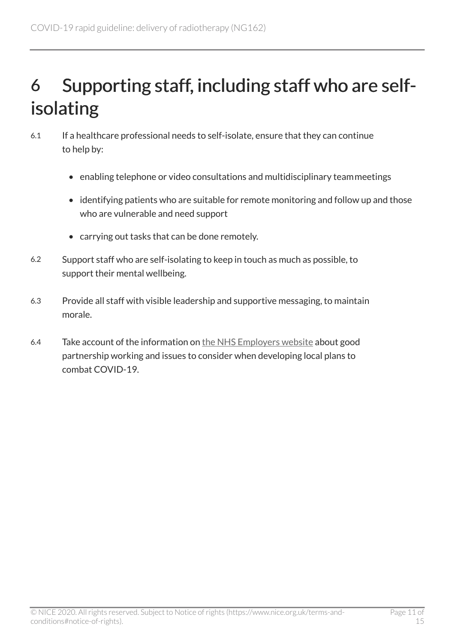# <span id="page-10-0"></span>6 Supporting staff, including staff who are selfisolating

- 6.1 If a healthcare professional needs to self-isolate, ensure that they can continue to help by:
	- enabling telephone or video consultations and multidisciplinary teammeetings
	- identifying patients who are suitable for remote monitoring and follow up and those who are vulnerable and need support
	- carrying out tasks that can be done remotely.
- 6.2 Support staff who are self-isolating to keep in touch as much as possible, to support their mental wellbeing.
- 6.3 Provide all staff with visible leadership and supportive messaging, to maintain morale.
- 6.4 Take account of the information on [the NHS Employers website](https://www.nhsemployers.org/engagement-and-networks/nhs-staff-council/joint-statements-and-papers) about good partnership working and issues to consider when developing local plans to combat COVID-19.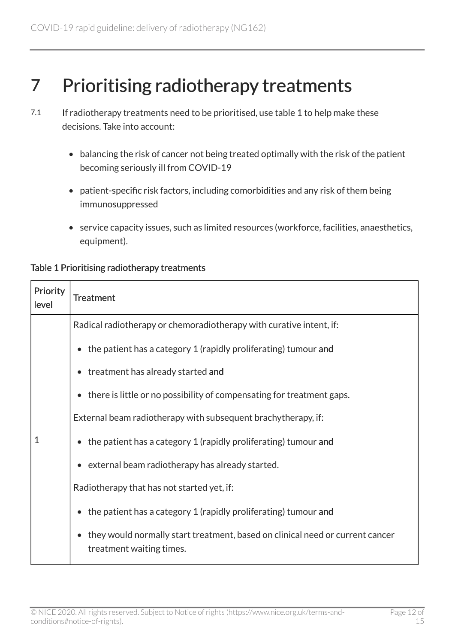#### <span id="page-11-0"></span>7 Prioritising radiotherapy treatments

- 7.1 If radiotherapy treatments need to be prioritised, use table 1 to help make these decisions. Take into account:
	- balancing the risk of cancer not being treated optimally with the risk of the patient becoming seriously ill from COVID-19
	- patient-specific risk factors, including comorbidities and any risk of them being immunosuppressed
	- service capacity issues, such as limited resources (workforce, facilities, anaesthetics, equipment).

| Priority<br>level | <b>Treatment</b>                                                                                                       |
|-------------------|------------------------------------------------------------------------------------------------------------------------|
| 1                 | Radical radiotherapy or chemoradiotherapy with curative intent, if:                                                    |
|                   | • the patient has a category 1 (rapidly proliferating) tumour and                                                      |
|                   | • treatment has already started and                                                                                    |
|                   | • there is little or no possibility of compensating for treatment gaps.                                                |
|                   | External beam radiotherapy with subsequent brachytherapy, if:                                                          |
|                   | $\bullet$ the patient has a category 1 (rapidly proliferating) tumour and                                              |
|                   | • external beam radiotherapy has already started.                                                                      |
|                   | Radiotherapy that has not started yet, if:                                                                             |
|                   | the patient has a category 1 (rapidly proliferating) tumour and                                                        |
|                   | they would normally start treatment, based on clinical need or current cancer<br>$\bullet$<br>treatment waiting times. |

#### Table 1 Prioritising radiotherapy treatments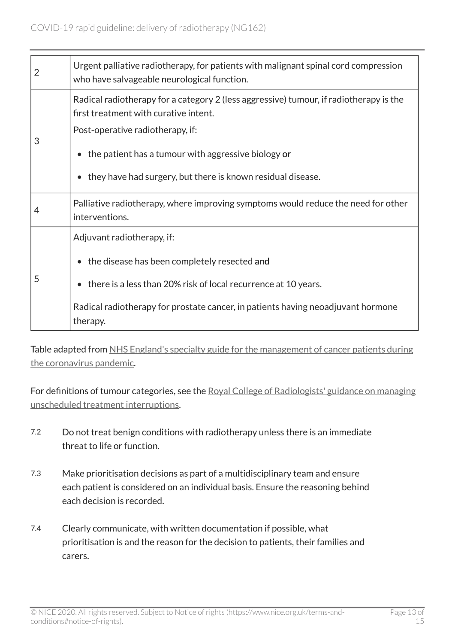| 2 | Urgent palliative radiotherapy, for patients with malignant spinal cord compression<br>who have salvageable neurological function. |
|---|------------------------------------------------------------------------------------------------------------------------------------|
| 3 | Radical radiotherapy for a category 2 (less aggressive) tumour, if radiotherapy is the<br>first treatment with curative intent.    |
|   | Post-operative radiotherapy, if:                                                                                                   |
|   | the patient has a tumour with aggressive biology or                                                                                |
|   | they have had surgery, but there is known residual disease.                                                                        |
| 4 | Palliative radiotherapy, where improving symptoms would reduce the need for other<br>interventions.                                |
| 5 | Adjuvant radiotherapy, if:                                                                                                         |
|   | • the disease has been completely resected and                                                                                     |
|   | • there is a less than 20% risk of local recurrence at 10 years.                                                                   |
|   | Radical radiotherapy for prostate cancer, in patients having neoadjuvant hormone<br>therapy.                                       |

Table adapted from [NHS England's specialty guide for the management of cancer patients during](https://www.england.nhs.uk/coronavirus/wp-content/uploads/sites/52/2020/03/specialty-guide-acute-treatment-cancer-23-march-2020.pdf)  [the coronavirus pandemic](https://www.england.nhs.uk/coronavirus/wp-content/uploads/sites/52/2020/03/specialty-guide-acute-treatment-cancer-23-march-2020.pdf).

For definitions of tumour categories, see the [Royal College of Radiologists' guidance on managing](https://www.rcr.ac.uk/publication/timely-delivery-radical-radiotherapy-guidelines-management-unscheduled-treatment) [unscheduled treatment interruptions](https://www.rcr.ac.uk/publication/timely-delivery-radical-radiotherapy-guidelines-management-unscheduled-treatment).

- 7.2 Do not treat benign conditions with radiotherapy unless there is an immediate threat to life or function.
- 7.3 Make prioritisation decisions as part of a multidisciplinary team and ensure each patient is considered on an individual basis. Ensure the reasoning behind each decision is recorded.
- 7.4 Clearly communicate, with written documentation if possible, what prioritisation is and the reason for the decision to patients, their families and carers.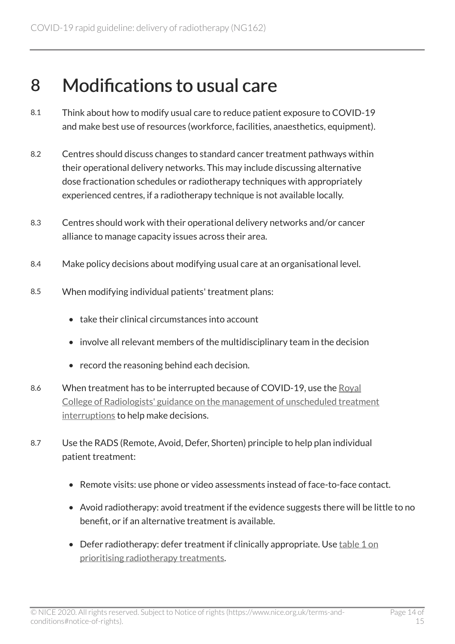#### <span id="page-13-0"></span>8 Modifications to usual care

- 8.1 Think about how to modify usual care to reduce patient exposure to COVID-19 and make best use of resources (workforce, facilities, anaesthetics, equipment).
- 8.2 Centres should discuss changes to standard cancer treatment pathways within their operational delivery networks. This may include discussing alternative dose fractionation schedules or radiotherapy techniques with appropriately experienced centres, if a radiotherapy technique is not available locally.
- 8.3 Centres should work with their operational delivery networks and/or cancer alliance to manage capacity issues across their area.
- 8.4 Make policy decisions about modifying usual care at an organisational level.
- 8.5 When modifying individual patients' treatment plans:
	- take their clinical circumstances into account
	- involve all relevant members of the multidisciplinary team in the decision
	- record the reasoning behind each decision.
- 8.6 When treatment has to be interrupted because of COVID-19, use the [Royal](https://www.rcr.ac.uk/publication/timely-delivery-radical-radiotherapy-guidelines-management-unscheduled-treatment)  [College of Radiologists' guidance on the management of unscheduled treatment](https://www.rcr.ac.uk/publication/timely-delivery-radical-radiotherapy-guidelines-management-unscheduled-treatment)  [interruptions](https://www.rcr.ac.uk/publication/timely-delivery-radical-radiotherapy-guidelines-management-unscheduled-treatment) to help make decisions.
- 8.7 Use the RADS (Remote, Avoid, Defer, Shorten) principle to help plan individual patient treatment:
	- Remote visits: use phone or video assessments instead of face-to-face contact.
	- Avoid radiotherapy: avoid treatment if the evidence suggests there will be little to no benefit, or if an alternative treatment is available.
	- Defer radiotherapy: defer treatment if clinically appropriate. Use [table 1 on](#page-11-0) [prioritising radiotherapy treatments.](#page-11-0)